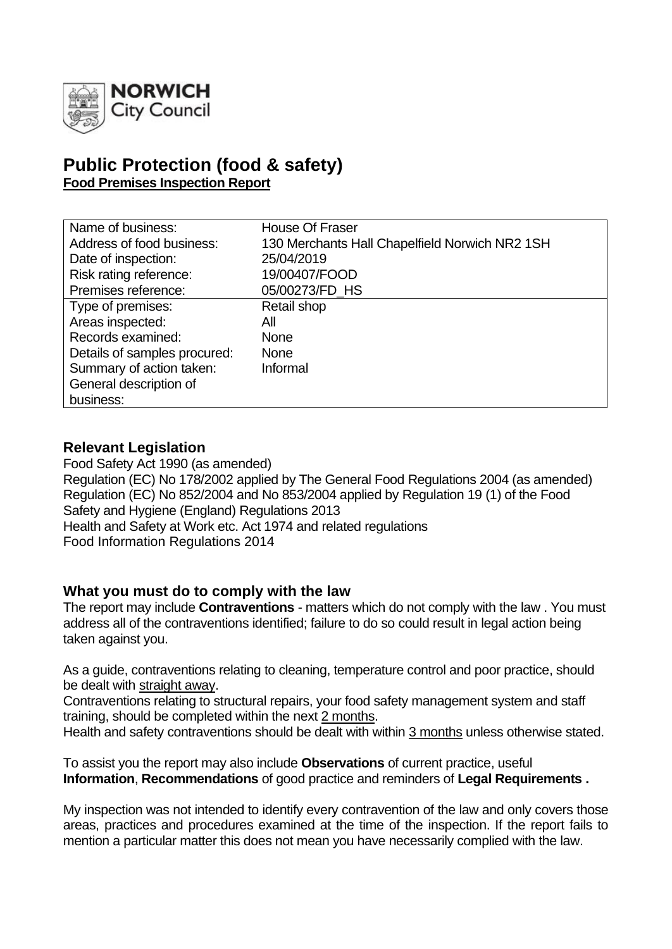

# **Public Protection (food & safety) Food Premises Inspection Report**

| Name of business:            | <b>House Of Fraser</b>                         |
|------------------------------|------------------------------------------------|
| Address of food business:    | 130 Merchants Hall Chapelfield Norwich NR2 1SH |
| Date of inspection:          | 25/04/2019                                     |
| Risk rating reference:       | 19/00407/FOOD                                  |
| Premises reference:          | 05/00273/FD_HS                                 |
| Type of premises:            | Retail shop                                    |
| Areas inspected:             | All                                            |
| Records examined:            | <b>None</b>                                    |
| Details of samples procured: | <b>None</b>                                    |
| Summary of action taken:     | Informal                                       |
| General description of       |                                                |
| business:                    |                                                |

### **Relevant Legislation**

Food Safety Act 1990 (as amended) Regulation (EC) No 178/2002 applied by The General Food Regulations 2004 (as amended) Regulation (EC) No 852/2004 and No 853/2004 applied by Regulation 19 (1) of the Food Safety and Hygiene (England) Regulations 2013 Health and Safety at Work etc. Act 1974 and related regulations Food Information Regulations 2014

### **What you must do to comply with the law**

The report may include **Contraventions** - matters which do not comply with the law . You must address all of the contraventions identified; failure to do so could result in legal action being taken against you.

As a guide, contraventions relating to cleaning, temperature control and poor practice, should be dealt with straight away.

Contraventions relating to structural repairs, your food safety management system and staff training, should be completed within the next 2 months.

Health and safety contraventions should be dealt with within 3 months unless otherwise stated.

To assist you the report may also include **Observations** of current practice, useful **Information**, **Recommendations** of good practice and reminders of **Legal Requirements .**

My inspection was not intended to identify every contravention of the law and only covers those areas, practices and procedures examined at the time of the inspection. If the report fails to mention a particular matter this does not mean you have necessarily complied with the law.